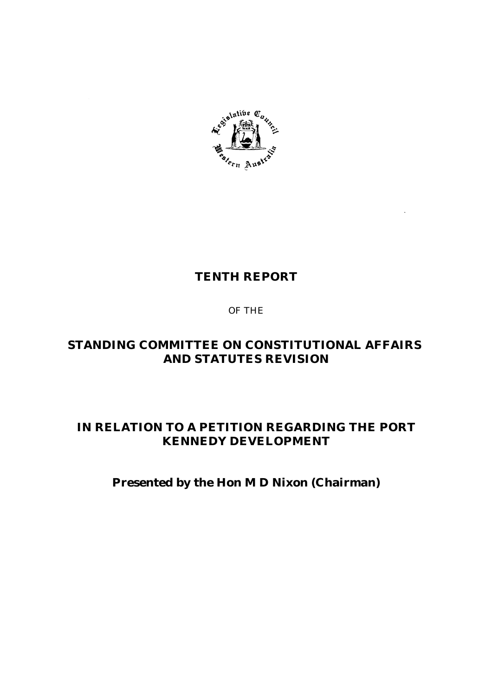

# **TENTH REPORT**

# OF THE

# **STANDING COMMITTEE ON CONSTITUTIONAL AFFAIRS AND STATUTES REVISION**

# **IN RELATION TO A PETITION REGARDING THE PORT KENNEDY DEVELOPMENT**

# **Presented by the Hon M D Nixon (Chairman)**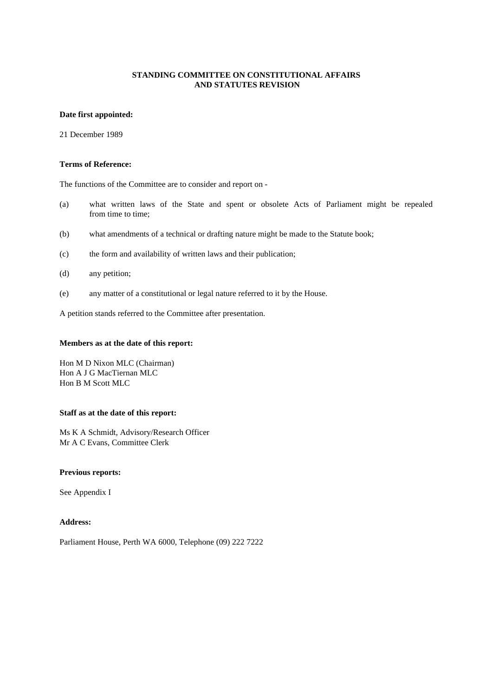### **Date first appointed:**

21 December 1989

#### **Terms of Reference:**

The functions of the Committee are to consider and report on -

- (a) what written laws of the State and spent or obsolete Acts of Parliament might be repealed from time to time;
- (b) what amendments of a technical or drafting nature might be made to the Statute book;
- (c) the form and availability of written laws and their publication;
- (d) any petition;
- (e) any matter of a constitutional or legal nature referred to it by the House.

A petition stands referred to the Committee after presentation.

#### **Members as at the date of this report:**

Hon M D Nixon MLC (Chairman) Hon A J G MacTiernan MLC Hon B M Scott MLC

#### **Staff as at the date of this report:**

Ms K A Schmidt, Advisory/Research Officer Mr A C Evans, Committee Clerk

#### **Previous reports:**

See Appendix I

#### **Address:**

Parliament House, Perth WA 6000, Telephone (09) 222 7222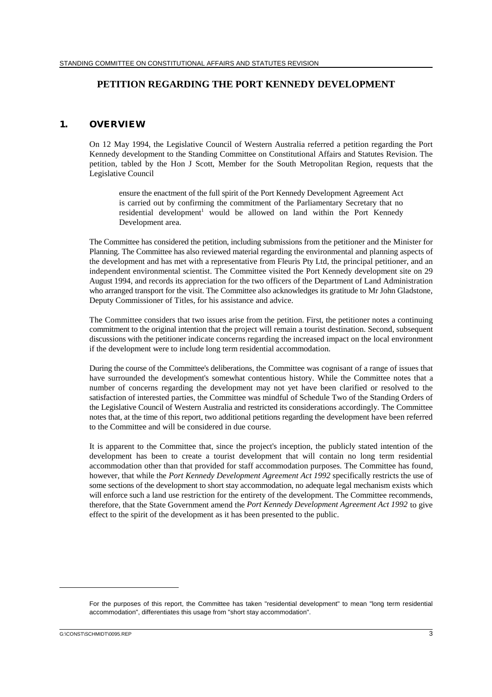# **PETITION REGARDING THE PORT KENNEDY DEVELOPMENT**

#### **1. OVERVIEW**

On 12 May 1994, the Legislative Council of Western Australia referred a petition regarding the Port Kennedy development to the Standing Committee on Constitutional Affairs and Statutes Revision. The petition, tabled by the Hon J Scott, Member for the South Metropolitan Region, requests that the Legislative Council

ensure the enactment of the full spirit of the Port Kennedy Development Agreement Act is carried out by confirming the commitment of the Parliamentary Secretary that no residential development<sup>1</sup> would be allowed on land within the Port Kennedy Development area.

The Committee has considered the petition, including submissions from the petitioner and the Minister for Planning. The Committee has also reviewed material regarding the environmental and planning aspects of the development and has met with a representative from Fleuris Pty Ltd, the principal petitioner, and an independent environmental scientist. The Committee visited the Port Kennedy development site on 29 August 1994, and records its appreciation for the two officers of the Department of Land Administration who arranged transport for the visit. The Committee also acknowledges its gratitude to Mr John Gladstone, Deputy Commissioner of Titles, for his assistance and advice.

The Committee considers that two issues arise from the petition. First, the petitioner notes a continuing commitment to the original intention that the project will remain a tourist destination. Second, subsequent discussions with the petitioner indicate concerns regarding the increased impact on the local environment if the development were to include long term residential accommodation.

During the course of the Committee's deliberations, the Committee was cognisant of a range of issues that have surrounded the development's somewhat contentious history. While the Committee notes that a number of concerns regarding the development may not yet have been clarified or resolved to the satisfaction of interested parties, the Committee was mindful of Schedule Two of the Standing Orders of the Legislative Council of Western Australia and restricted its considerations accordingly. The Committee notes that, at the time of this report, two additional petitions regarding the development have been referred to the Committee and will be considered in due course.

It is apparent to the Committee that, since the project's inception, the publicly stated intention of the development has been to create a tourist development that will contain no long term residential accommodation other than that provided for staff accommodation purposes. The Committee has found, however, that while the *Port Kennedy Development Agreement Act 1992* specifically restricts the use of some sections of the development to short stay accommodation, no adequate legal mechanism exists which will enforce such a land use restriction for the entirety of the development. The Committee recommends, therefore, that the State Government amend the *Port Kennedy Development Agreement Act 1992* to give effect to the spirit of the development as it has been presented to the public.

G:\CONST\SCHMIDT\0095.REP 3

For the purposes of this report, the Committee has taken "residential development" to mean "long term residential accommodation", differentiates this usage from "short stay accommodation".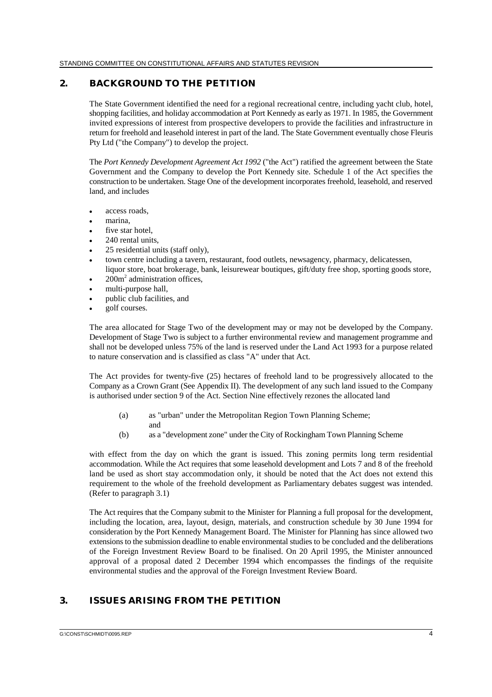## **2. BACKGROUND TO THE PETITION**

The State Government identified the need for a regional recreational centre, including yacht club, hotel, shopping facilities, and holiday accommodation at Port Kennedy as early as 1971. In 1985, the Government invited expressions of interest from prospective developers to provide the facilities and infrastructure in return for freehold and leasehold interest in part of the land. The State Government eventually chose Fleuris Pty Ltd ("the Company") to develop the project.

The *Port Kennedy Development Agreement Act 1992* ("the Act") ratified the agreement between the State Government and the Company to develop the Port Kennedy site. Schedule 1 of the Act specifies the construction to be undertaken. Stage One of the development incorporates freehold, leasehold, and reserved land, and includes

- $\ddot{\phantom{0}}$ access roads,
- $\ddot{\phantom{0}}$ marina,
- $\bullet$ five star hotel,
- $\ddot{\phantom{0}}$ 240 rental units,
- $\bullet$ 25 residential units (staff only),
- $\ddot{\phantom{0}}$  town centre including a tavern, restaurant, food outlets, newsagency, pharmacy, delicatessen, liquor store, boat brokerage, bank, leisurewear boutiques, gift/duty free shop, sporting goods store,
- $\bullet$  $200m<sup>2</sup>$  administration offices.
- $\ddot{\phantom{0}}$ multi-purpose hall,
- $\ddot{\phantom{0}}$ public club facilities, and
- $\bullet$ golf courses.

The area allocated for Stage Two of the development may or may not be developed by the Company. Development of Stage Two is subject to a further environmental review and management programme and shall not be developed unless 75% of the land is reserved under the Land Act 1993 for a purpose related to nature conservation and is classified as class "A" under that Act.

The Act provides for twenty-five (25) hectares of freehold land to be progressively allocated to the Company as a Crown Grant (See Appendix II). The development of any such land issued to the Company is authorised under section 9 of the Act. Section Nine effectively rezones the allocated land

- (a) as "urban" under the Metropolitan Region Town Planning Scheme; and
- (b) as a "development zone" under the City of Rockingham Town Planning Scheme

with effect from the day on which the grant is issued. This zoning permits long term residential accommodation. While the Act requires that some leasehold development and Lots 7 and 8 of the freehold land be used as short stay accommodation only, it should be noted that the Act does not extend this requirement to the whole of the freehold development as Parliamentary debates suggest was intended. (Refer to paragraph 3.1)

The Act requires that the Company submit to the Minister for Planning a full proposal for the development, including the location, area, layout, design, materials, and construction schedule by 30 June 1994 for consideration by the Port Kennedy Management Board. The Minister for Planning has since allowed two extensions to the submission deadline to enable environmental studies to be concluded and the deliberations of the Foreign Investment Review Board to be finalised. On 20 April 1995, the Minister announced approval of a proposal dated 2 December 1994 which encompasses the findings of the requisite environmental studies and the approval of the Foreign Investment Review Board.

# **3. ISSUES ARISING FROM THE PETITION**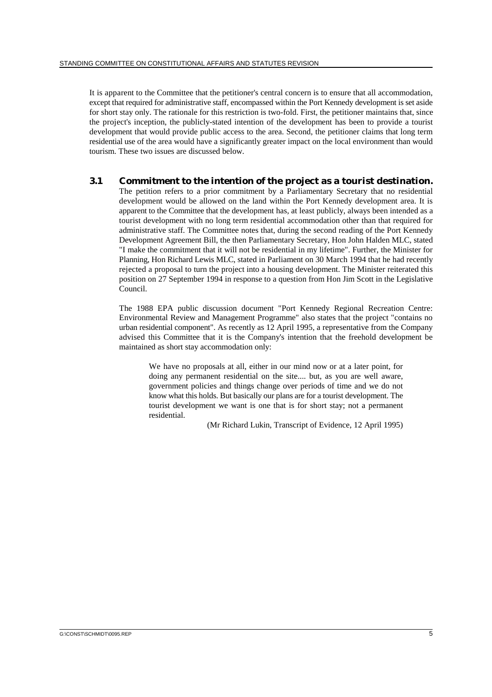It is apparent to the Committee that the petitioner's central concern is to ensure that all accommodation, except that required for administrative staff, encompassed within the Port Kennedy development is set aside for short stay only. The rationale for this restriction is two-fold. First, the petitioner maintains that, since the project's inception, the publicly-stated intention of the development has been to provide a tourist development that would provide public access to the area. Second, the petitioner claims that long term residential use of the area would have a significantly greater impact on the local environment than would tourism. These two issues are discussed below.

## **3.1 Commitment to the intention of the project as a tourist destination.**

The petition refers to a prior commitment by a Parliamentary Secretary that no residential development would be allowed on the land within the Port Kennedy development area. It is apparent to the Committee that the development has, at least publicly, always been intended as a tourist development with no long term residential accommodation other than that required for administrative staff. The Committee notes that, during the second reading of the Port Kennedy Development Agreement Bill, the then Parliamentary Secretary, Hon John Halden MLC, stated "I make the commitment that it will not be residential in my lifetime". Further, the Minister for Planning, Hon Richard Lewis MLC, stated in Parliament on 30 March 1994 that he had recently rejected a proposal to turn the project into a housing development. The Minister reiterated this position on 27 September 1994 in response to a question from Hon Jim Scott in the Legislative Council.

The 1988 EPA public discussion document "Port Kennedy Regional Recreation Centre: Environmental Review and Management Programme" also states that the project "contains no urban residential component". As recently as 12 April 1995, a representative from the Company advised this Committee that it is the Company's intention that the freehold development be maintained as short stay accommodation only:

We have no proposals at all, either in our mind now or at a later point, for doing any permanent residential on the site.... but, as you are well aware, government policies and things change over periods of time and we do not know what this holds. But basically our plans are for a tourist development. The tourist development we want is one that is for short stay; not a permanent residential.

(Mr Richard Lukin, Transcript of Evidence, 12 April 1995)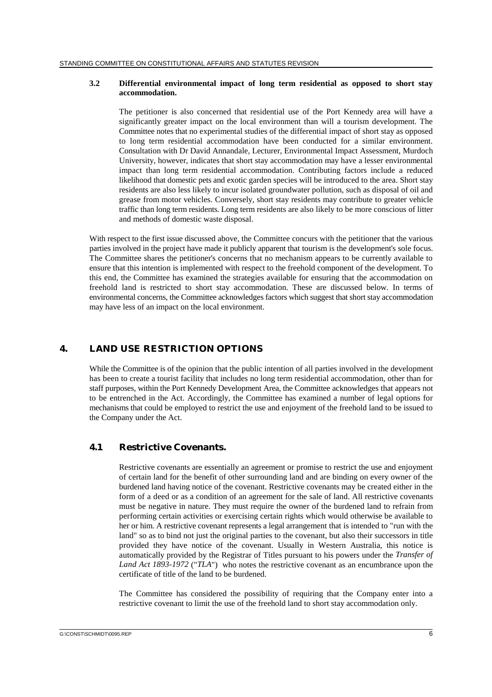#### **3.2 Differential environmental impact of long term residential as opposed to short stay accommodation.**

The petitioner is also concerned that residential use of the Port Kennedy area will have a significantly greater impact on the local environment than will a tourism development. The Committee notes that no experimental studies of the differential impact of short stay as opposed to long term residential accommodation have been conducted for a similar environment. Consultation with Dr David Annandale, Lecturer, Environmental Impact Assessment, Murdoch University, however, indicates that short stay accommodation may have a lesser environmental impact than long term residential accommodation. Contributing factors include a reduced likelihood that domestic pets and exotic garden species will be introduced to the area. Short stay residents are also less likely to incur isolated groundwater pollution, such as disposal of oil and grease from motor vehicles. Conversely, short stay residents may contribute to greater vehicle traffic than long term residents. Long term residents are also likely to be more conscious of litter and methods of domestic waste disposal.

With respect to the first issue discussed above, the Committee concurs with the petitioner that the various parties involved in the project have made it publicly apparent that tourism is the development's sole focus. The Committee shares the petitioner's concerns that no mechanism appears to be currently available to ensure that this intention is implemented with respect to the freehold component of the development. To this end, the Committee has examined the strategies available for ensuring that the accommodation on freehold land is restricted to short stay accommodation. These are discussed below. In terms of environmental concerns, the Committee acknowledges factors which suggest that short stay accommodation may have less of an impact on the local environment.

# **4. LAND USE RESTRICTION OPTIONS**

While the Committee is of the opinion that the public intention of all parties involved in the development has been to create a tourist facility that includes no long term residential accommodation, other than for staff purposes, within the Port Kennedy Development Area, the Committee acknowledges that appears not to be entrenched in the Act. Accordingly, the Committee has examined a number of legal options for mechanisms that could be employed to restrict the use and enjoyment of the freehold land to be issued to the Company under the Act.

## **4.1 Restrictive Covenants.**

Restrictive covenants are essentially an agreement or promise to restrict the use and enjoyment of certain land for the benefit of other surrounding land and are binding on every owner of the burdened land having notice of the covenant. Restrictive covenants may be created either in the form of a deed or as a condition of an agreement for the sale of land. All restrictive covenants must be negative in nature. They must require the owner of the burdened land to refrain from performing certain activities or exercising certain rights which would otherwise be available to her or him. A restrictive covenant represents a legal arrangement that is intended to "run with the land" so as to bind not just the original parties to the covenant, but also their successors in title provided they have notice of the covenant. Usually in Western Australia, this notice is automatically provided by the Registrar of Titles pursuant to his powers under the *Transfer of Land Act 1893-1972* ("*TLA*") who notes the restrictive covenant as an encumbrance upon the certificate of title of the land to be burdened.

The Committee has considered the possibility of requiring that the Company enter into a restrictive covenant to limit the use of the freehold land to short stay accommodation only.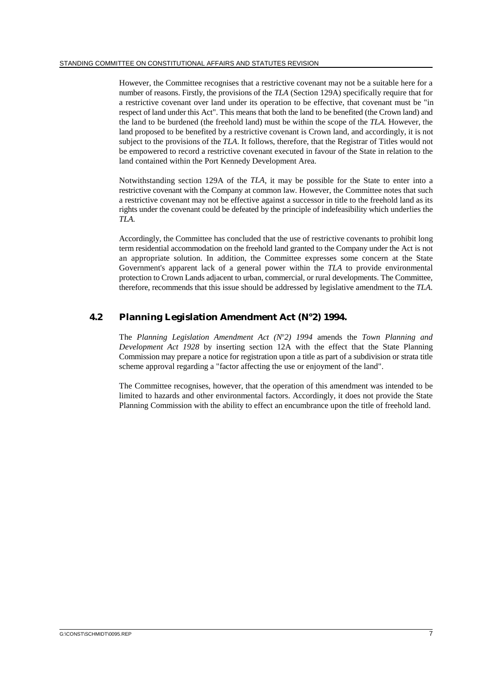However, the Committee recognises that a restrictive covenant may not be a suitable here for a number of reasons. Firstly, the provisions of the *TLA* (Section 129A) specifically require that for a restrictive covenant over land under its operation to be effective, that covenant must be "in respect of land under this Act". This means that both the land to be benefited (the Crown land) and the land to be burdened (the freehold land) must be within the scope of the *TLA.* However, the land proposed to be benefited by a restrictive covenant is Crown land, and accordingly, it is not subject to the provisions of the *TLA*. It follows, therefore, that the Registrar of Titles would not be empowered to record a restrictive covenant executed in favour of the State in relation to the land contained within the Port Kennedy Development Area.

Notwithstanding section 129A of the *TLA*, it may be possible for the State to enter into a restrictive covenant with the Company at common law. However, the Committee notes that such a restrictive covenant may not be effective against a successor in title to the freehold land as its rights under the covenant could be defeated by the principle of indefeasibility which underlies the *TLA.*

Accordingly, the Committee has concluded that the use of restrictive covenants to prohibit long term residential accommodation on the freehold land granted to the Company under the Act is not an appropriate solution. In addition, the Committee expresses some concern at the State Government's apparent lack of a general power within the *TLA* to provide environmental protection to Crown Lands adjacent to urban, commercial, or rural developments. The Committee, therefore, recommends that this issue should be addressed by legislative amendment to the *TLA*.

# **4.2** Planning Legislation Amendment Act (N°2) 1994.

The Planning Legislation Amendment Act (Nº2) 1994 amends the Town Planning and *Development Act 1928* by inserting section 12A with the effect that the State Planning Commission may prepare a notice for registration upon a title as part of a subdivision or strata title scheme approval regarding a "factor affecting the use or enjoyment of the land".

The Committee recognises, however, that the operation of this amendment was intended to be limited to hazards and other environmental factors. Accordingly, it does not provide the State Planning Commission with the ability to effect an encumbrance upon the title of freehold land.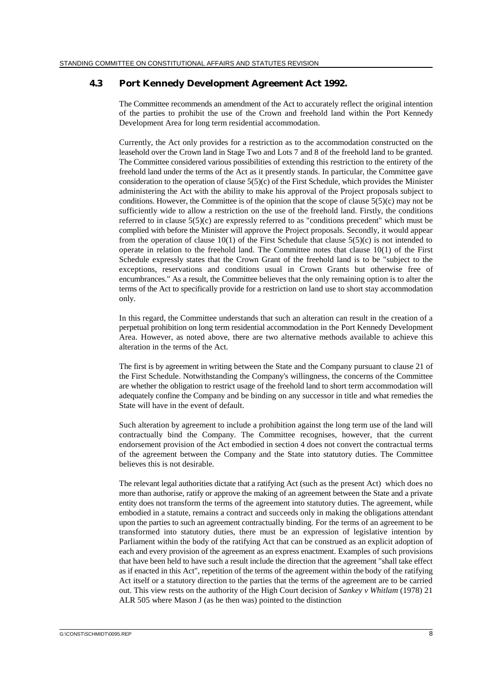### **4.3 Port Kennedy Development Agreement Act 1992.**

The Committee recommends an amendment of the Act to accurately reflect the original intention of the parties to prohibit the use of the Crown and freehold land within the Port Kennedy Development Area for long term residential accommodation.

Currently, the Act only provides for a restriction as to the accommodation constructed on the leasehold over the Crown land in Stage Two and Lots 7 and 8 of the freehold land to be granted. The Committee considered various possibilities of extending this restriction to the entirety of the freehold land under the terms of the Act as it presently stands. In particular, the Committee gave consideration to the operation of clause  $5(5)(c)$  of the First Schedule, which provides the Minister administering the Act with the ability to make his approval of the Project proposals subject to conditions. However, the Committee is of the opinion that the scope of clause  $5(5)(c)$  may not be sufficiently wide to allow a restriction on the use of the freehold land. Firstly, the conditions referred to in clause 5(5)(c) are expressly referred to as "conditions precedent" which must be complied with before the Minister will approve the Project proposals. Secondly, it would appear from the operation of clause  $10(1)$  of the First Schedule that clause  $5(5)(c)$  is not intended to operate in relation to the freehold land. The Committee notes that clause 10(1) of the First Schedule expressly states that the Crown Grant of the freehold land is to be "subject to the exceptions, reservations and conditions usual in Crown Grants but otherwise free of encumbrances." As a result, the Committee believes that the only remaining option is to alter the terms of the Act to specifically provide for a restriction on land use to short stay accommodation only.

In this regard, the Committee understands that such an alteration can result in the creation of a perpetual prohibition on long term residential accommodation in the Port Kennedy Development Area. However, as noted above, there are two alternative methods available to achieve this alteration in the terms of the Act.

The first is by agreement in writing between the State and the Company pursuant to clause 21 of the First Schedule. Notwithstanding the Company's willingness, the concerns of the Committee are whether the obligation to restrict usage of the freehold land to short term accommodation will adequately confine the Company and be binding on any successor in title and what remedies the State will have in the event of default.

Such alteration by agreement to include a prohibition against the long term use of the land will contractually bind the Company. The Committee recognises, however, that the current endorsement provision of the Act embodied in section 4 does not convert the contractual terms of the agreement between the Company and the State into statutory duties. The Committee believes this is not desirable.

The relevant legal authorities dictate that a ratifying Act (such as the present Act) which does no more than authorise, ratify or approve the making of an agreement between the State and a private entity does not transform the terms of the agreement into statutory duties. The agreement, while embodied in a statute, remains a contract and succeeds only in making the obligations attendant upon the parties to such an agreement contractually binding. For the terms of an agreement to be transformed into statutory duties, there must be an expression of legislative intention by Parliament within the body of the ratifying Act that can be construed as an explicit adoption of each and every provision of the agreement as an express enactment. Examples of such provisions that have been held to have such a result include the direction that the agreement "shall take effect as if enacted in this Act", repetition of the terms of the agreement within the body of the ratifying Act itself or a statutory direction to the parties that the terms of the agreement are to be carried out. This view rests on the authority of the High Court decision of *Sankey v Whitlam* (1978) 21 ALR 505 where Mason J (as he then was) pointed to the distinction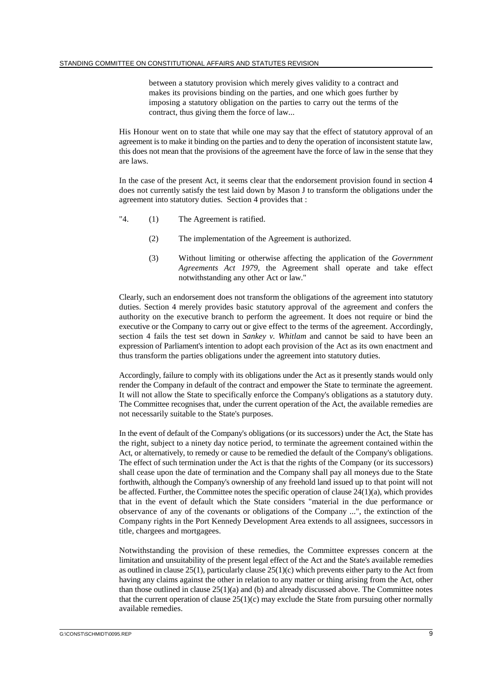between a statutory provision which merely gives validity to a contract and makes its provisions binding on the parties, and one which goes further by imposing a statutory obligation on the parties to carry out the terms of the contract, thus giving them the force of law...

His Honour went on to state that while one may say that the effect of statutory approval of an agreement is to make it binding on the parties and to deny the operation of inconsistent statute law, this does not mean that the provisions of the agreement have the force of law in the sense that they are laws.

In the case of the present Act, it seems clear that the endorsement provision found in section 4 does not currently satisfy the test laid down by Mason J to transform the obligations under the agreement into statutory duties. Section 4 provides that :

- "4. (1) The Agreement is ratified.
	- (2) The implementation of the Agreement is authorized.
	- (3) Without limiting or otherwise affecting the application of the *Government Agreements Act 1979*, the Agreement shall operate and take effect notwithstanding any other Act or law."

Clearly, such an endorsement does not transform the obligations of the agreement into statutory duties. Section 4 merely provides basic statutory approval of the agreement and confers the authority on the executive branch to perform the agreement. It does not require or bind the executive or the Company to carry out or give effect to the terms of the agreement. Accordingly, section 4 fails the test set down in *Sankey v. Whitlam* and cannot be said to have been an expression of Parliament's intention to adopt each provision of the Act as its own enactment and thus transform the parties obligations under the agreement into statutory duties.

Accordingly, failure to comply with its obligations under the Act as it presently stands would only render the Company in default of the contract and empower the State to terminate the agreement. It will not allow the State to specifically enforce the Company's obligations as a statutory duty. The Committee recognises that, under the current operation of the Act, the available remedies are not necessarily suitable to the State's purposes.

In the event of default of the Company's obligations (or its successors) under the Act, the State has the right, subject to a ninety day notice period, to terminate the agreement contained within the Act, or alternatively, to remedy or cause to be remedied the default of the Company's obligations. The effect of such termination under the Act is that the rights of the Company (or its successors) shall cease upon the date of termination and the Company shall pay all moneys due to the State forthwith, although the Company's ownership of any freehold land issued up to that point will not be affected. Further, the Committee notes the specific operation of clause  $24(1)(a)$ , which provides that in the event of default which the State considers "material in the due performance or observance of any of the covenants or obligations of the Company ...", the extinction of the Company rights in the Port Kennedy Development Area extends to all assignees, successors in title, chargees and mortgagees.

Notwithstanding the provision of these remedies, the Committee expresses concern at the limitation and unsuitability of the present legal effect of the Act and the State's available remedies as outlined in clause 25(1), particularly clause 25(1)(c) which prevents either party to the Act from having any claims against the other in relation to any matter or thing arising from the Act, other than those outlined in clause  $25(1)(a)$  and (b) and already discussed above. The Committee notes that the current operation of clause  $25(1)(c)$  may exclude the State from pursuing other normally available remedies.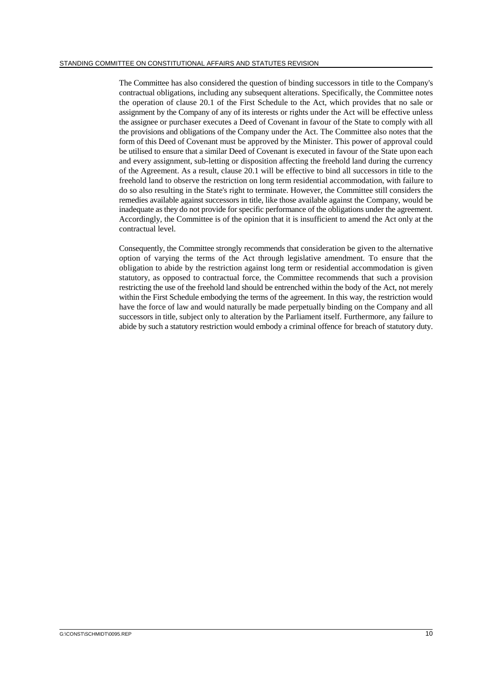The Committee has also considered the question of binding successors in title to the Company's contractual obligations, including any subsequent alterations. Specifically, the Committee notes the operation of clause 20.1 of the First Schedule to the Act, which provides that no sale or assignment by the Company of any of its interests or rights under the Act will be effective unless the assignee or purchaser executes a Deed of Covenant in favour of the State to comply with all the provisions and obligations of the Company under the Act. The Committee also notes that the form of this Deed of Covenant must be approved by the Minister. This power of approval could be utilised to ensure that a similar Deed of Covenant is executed in favour of the State upon each and every assignment, sub-letting or disposition affecting the freehold land during the currency of the Agreement. As a result, clause 20.1 will be effective to bind all successors in title to the freehold land to observe the restriction on long term residential accommodation, with failure to do so also resulting in the State's right to terminate. However, the Committee still considers the remedies available against successors in title, like those available against the Company, would be inadequate as they do not provide for specific performance of the obligations under the agreement. Accordingly, the Committee is of the opinion that it is insufficient to amend the Act only at the contractual level.

Consequently, the Committee strongly recommends that consideration be given to the alternative option of varying the terms of the Act through legislative amendment. To ensure that the obligation to abide by the restriction against long term or residential accommodation is given statutory, as opposed to contractual force, the Committee recommends that such a provision restricting the use of the freehold land should be entrenched within the body of the Act, not merely within the First Schedule embodying the terms of the agreement. In this way, the restriction would have the force of law and would naturally be made perpetually binding on the Company and all successors in title, subject only to alteration by the Parliament itself. Furthermore, any failure to abide by such a statutory restriction would embody a criminal offence for breach of statutory duty.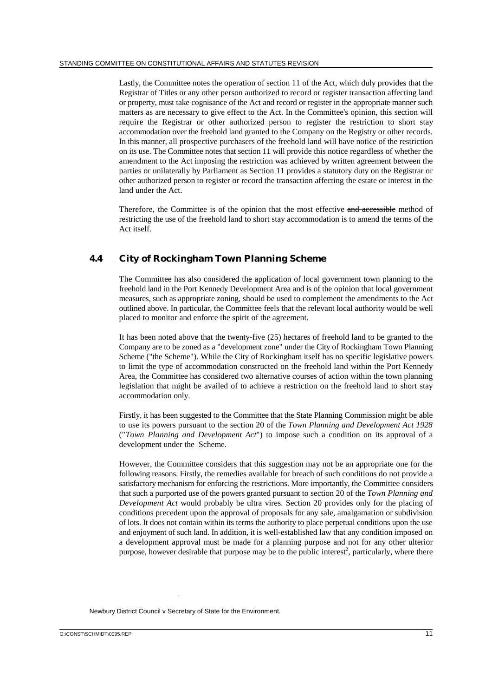Lastly, the Committee notes the operation of section 11 of the Act, which duly provides that the Registrar of Titles or any other person authorized to record or register transaction affecting land or property, must take cognisance of the Act and record or register in the appropriate manner such matters as are necessary to give effect to the Act. In the Committee's opinion, this section will require the Registrar or other authorized person to register the restriction to short stay accommodation over the freehold land granted to the Company on the Registry or other records. In this manner, all prospective purchasers of the freehold land will have notice of the restriction on its use. The Committee notes that section 11 will provide this notice regardless of whether the amendment to the Act imposing the restriction was achieved by written agreement between the parties or unilaterally by Parliament as Section 11 provides a statutory duty on the Registrar or other authorized person to register or record the transaction affecting the estate or interest in the land under the Act.

Therefore, the Committee is of the opinion that the most effective and accessible method of restricting the use of the freehold land to short stay accommodation is to amend the terms of the Act itself.

# **4.4 City of Rockingham Town Planning Scheme**

The Committee has also considered the application of local government town planning to the freehold land in the Port Kennedy Development Area and is of the opinion that local government measures, such as appropriate zoning, should be used to complement the amendments to the Act outlined above. In particular, the Committee feels that the relevant local authority would be well placed to monitor and enforce the spirit of the agreement.

It has been noted above that the twenty-five (25) hectares of freehold land to be granted to the Company are to be zoned as a "development zone" under the City of Rockingham Town Planning Scheme ("the Scheme"). While the City of Rockingham itself has no specific legislative powers to limit the type of accommodation constructed on the freehold land within the Port Kennedy Area, the Committee has considered two alternative courses of action within the town planning legislation that might be availed of to achieve a restriction on the freehold land to short stay accommodation only.

Firstly, it has been suggested to the Committee that the State Planning Commission might be able to use its powers pursuant to the section 20 of the *Town Planning and Development Act 1928* ("*Town Planning and Development Act*") to impose such a condition on its approval of a development under the Scheme.

However, the Committee considers that this suggestion may not be an appropriate one for the following reasons. Firstly, the remedies available for breach of such conditions do not provide a satisfactory mechanism for enforcing the restrictions. More importantly, the Committee considers that such a purported use of the powers granted pursuant to section 20 of the *Town Planning and Development Act* would probably be ultra vires. Section 20 provides only for the placing of conditions precedent upon the approval of proposals for any sale, amalgamation or subdivision of lots. It does not contain within its terms the authority to place perpetual conditions upon the use and enjoyment of such land. In addition, it is well-established law that any condition imposed on a development approval must be made for a planning purpose and not for any other ulterior purpose, however desirable that purpose may be to the public interest<sup>2</sup>, particularly, where there

Newbury District Council v Secretary of State for the Environment.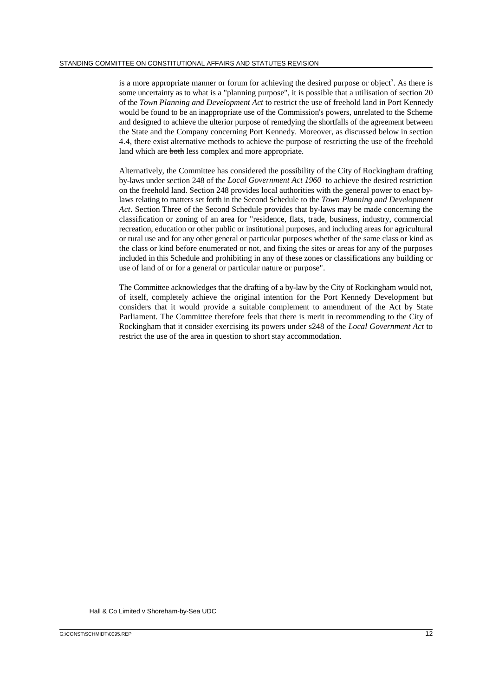is a more appropriate manner or forum for achieving the desired purpose or object<sup>3</sup>. As there is some uncertainty as to what is a "planning purpose", it is possible that a utilisation of section 20 of the *Town Planning and Development Act* to restrict the use of freehold land in Port Kennedy would be found to be an inappropriate use of the Commission's powers, unrelated to the Scheme and designed to achieve the ulterior purpose of remedying the shortfalls of the agreement between the State and the Company concerning Port Kennedy. Moreover, as discussed below in section 4.4, there exist alternative methods to achieve the purpose of restricting the use of the freehold land which are both less complex and more appropriate.

Alternatively, the Committee has considered the possibility of the City of Rockingham drafting by-laws under section 248 of the *Local Government Act 1960* to achieve the desired restriction on the freehold land. Section 248 provides local authorities with the general power to enact bylaws relating to matters set forth in the Second Schedule to the *Town Planning and Development Act*. Section Three of the Second Schedule provides that by-laws may be made concerning the classification or zoning of an area for "residence, flats, trade, business, industry, commercial recreation, education or other public or institutional purposes, and including areas for agricultural or rural use and for any other general or particular purposes whether of the same class or kind as the class or kind before enumerated or not, and fixing the sites or areas for any of the purposes included in this Schedule and prohibiting in any of these zones or classifications any building or use of land of or for a general or particular nature or purpose".

The Committee acknowledges that the drafting of a by-law by the City of Rockingham would not, of itself, completely achieve the original intention for the Port Kennedy Development but considers that it would provide a suitable complement to amendment of the Act by State Parliament. The Committee therefore feels that there is merit in recommending to the City of Rockingham that it consider exercising its powers under s248 of the *Local Government Act* to restrict the use of the area in question to short stay accommodation.

Hall & Co Limited v Shoreham-by-Sea UDC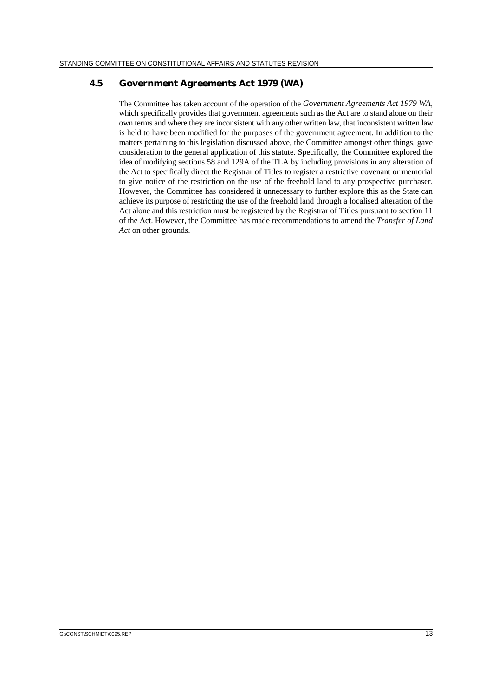### **4.5 Government Agreements Act 1979 (WA)**

The Committee has taken account of the operation of the *Government Agreements Act 1979 WA*, which specifically provides that government agreements such as the Act are to stand alone on their own terms and where they are inconsistent with any other written law, that inconsistent written law is held to have been modified for the purposes of the government agreement. In addition to the matters pertaining to this legislation discussed above, the Committee amongst other things, gave consideration to the general application of this statute. Specifically, the Committee explored the idea of modifying sections 58 and 129A of the TLA by including provisions in any alteration of the Act to specifically direct the Registrar of Titles to register a restrictive covenant or memorial to give notice of the restriction on the use of the freehold land to any prospective purchaser. However, the Committee has considered it unnecessary to further explore this as the State can achieve its purpose of restricting the use of the freehold land through a localised alteration of the Act alone and this restriction must be registered by the Registrar of Titles pursuant to section 11 of the Act. However, the Committee has made recommendations to amend the *Transfer of Land Act* on other grounds.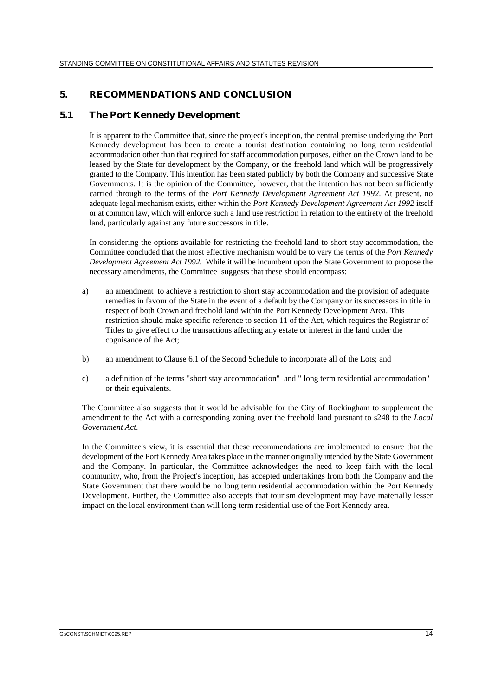## **5. RECOMMENDATIONS AND CONCLUSION**

### **5.1 The Port Kennedy Development**

It is apparent to the Committee that, since the project's inception, the central premise underlying the Port Kennedy development has been to create a tourist destination containing no long term residential accommodation other than that required for staff accommodation purposes, either on the Crown land to be leased by the State for development by the Company, or the freehold land which will be progressively granted to the Company. This intention has been stated publicly by both the Company and successive State Governments. It is the opinion of the Committee, however, that the intention has not been sufficiently carried through to the terms of the *Port Kennedy Development Agreement Act 1992*. At present, no adequate legal mechanism exists, either within the *Port Kennedy Development Agreement Act 1992* itself or at common law, which will enforce such a land use restriction in relation to the entirety of the freehold land, particularly against any future successors in title.

In considering the options available for restricting the freehold land to short stay accommodation, the Committee concluded that the most effective mechanism would be to vary the terms of the *Port Kennedy Development Agreement Act 1992.* While it will be incumbent upon the State Government to propose the necessary amendments, the Committee suggests that these should encompass:

- a) an amendment to achieve a restriction to short stay accommodation and the provision of adequate remedies in favour of the State in the event of a default by the Company or its successors in title in respect of both Crown and freehold land within the Port Kennedy Development Area. This restriction should make specific reference to section 11 of the Act, which requires the Registrar of Titles to give effect to the transactions affecting any estate or interest in the land under the cognisance of the Act;
- b) an amendment to Clause 6.1 of the Second Schedule to incorporate all of the Lots; and
- c) a definition of the terms "short stay accommodation" and " long term residential accommodation" or their equivalents.

The Committee also suggests that it would be advisable for the City of Rockingham to supplement the amendment to the Act with a corresponding zoning over the freehold land pursuant to s248 to the *Local Government Act*.

In the Committee's view, it is essential that these recommendations are implemented to ensure that the development of the Port Kennedy Area takes place in the manner originally intended by the State Government and the Company. In particular, the Committee acknowledges the need to keep faith with the local community, who, from the Project's inception, has accepted undertakings from both the Company and the State Government that there would be no long term residential accommodation within the Port Kennedy Development. Further, the Committee also accepts that tourism development may have materially lesser impact on the local environment than will long term residential use of the Port Kennedy area.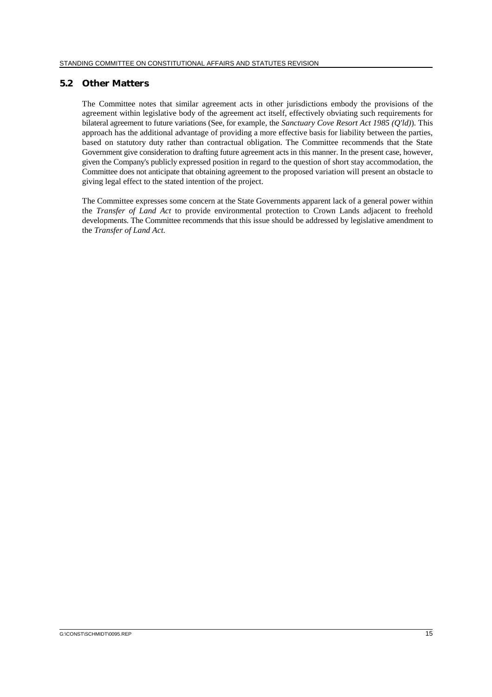#### **5.2 Other Matters**

The Committee notes that similar agreement acts in other jurisdictions embody the provisions of the agreement within legislative body of the agreement act itself, effectively obviating such requirements for bilateral agreement to future variations (See, for example, the *Sanctuary Cove Resort Act 1985 (Q'ld)*). This approach has the additional advantage of providing a more effective basis for liability between the parties, based on statutory duty rather than contractual obligation. The Committee recommends that the State Government give consideration to drafting future agreement acts in this manner. In the present case, however, given the Company's publicly expressed position in regard to the question of short stay accommodation, the Committee does not anticipate that obtaining agreement to the proposed variation will present an obstacle to giving legal effect to the stated intention of the project.

The Committee expresses some concern at the State Governments apparent lack of a general power within the *Transfer of Land Act* to provide environmental protection to Crown Lands adjacent to freehold developments. The Committee recommends that this issue should be addressed by legislative amendment to the *Transfer of Land Act.*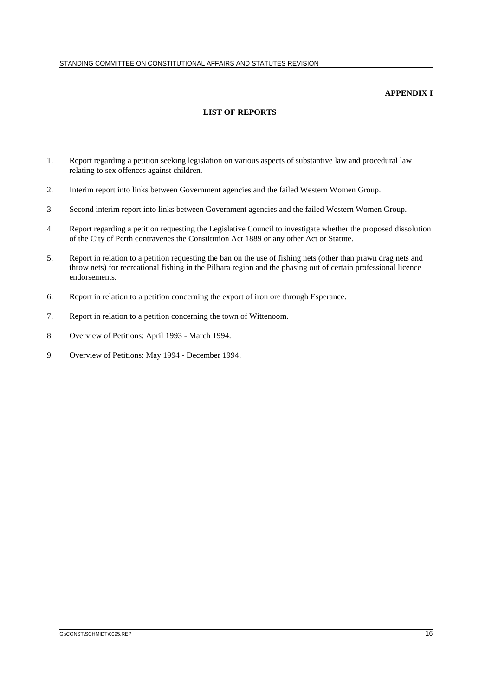#### **APPENDIX I**

## **LIST OF REPORTS**

- 1. Report regarding a petition seeking legislation on various aspects of substantive law and procedural law relating to sex offences against children.
- 2. Interim report into links between Government agencies and the failed Western Women Group.
- 3. Second interim report into links between Government agencies and the failed Western Women Group.
- 4. Report regarding a petition requesting the Legislative Council to investigate whether the proposed dissolution of the City of Perth contravenes the Constitution Act 1889 or any other Act or Statute.
- 5. Report in relation to a petition requesting the ban on the use of fishing nets (other than prawn drag nets and throw nets) for recreational fishing in the Pilbara region and the phasing out of certain professional licence endorsements.
- 6. Report in relation to a petition concerning the export of iron ore through Esperance.
- 7. Report in relation to a petition concerning the town of Wittenoom.
- 8. Overview of Petitions: April 1993 March 1994.
- 9. Overview of Petitions: May 1994 December 1994.